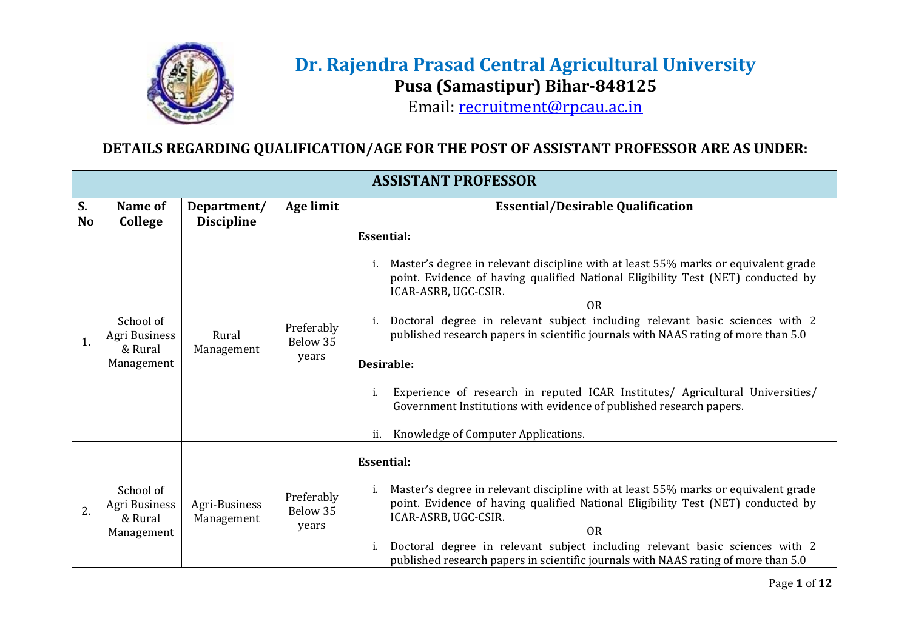

## **Dr. Rajendra Prasad Central Agricultural University Pusa (Samastipur) Bihar-848125**

Email: [recruitment@rpcau.ac.in](mailto:recruitment@rpcau.ac.in)

## **DETAILS REGARDING QUALIFICATION/AGE FOR THE POST OF ASSISTANT PROFESSOR ARE AS UNDER:**

|                 | <b>ASSISTANT PROFESSOR</b>                          |                                  |                                 |                                                                                                                                                                                                                                                                                                                                                                                                                                                                                                                                                                                                                                     |  |
|-----------------|-----------------------------------------------------|----------------------------------|---------------------------------|-------------------------------------------------------------------------------------------------------------------------------------------------------------------------------------------------------------------------------------------------------------------------------------------------------------------------------------------------------------------------------------------------------------------------------------------------------------------------------------------------------------------------------------------------------------------------------------------------------------------------------------|--|
| S.<br><b>No</b> | Name of<br>College                                  | Department/<br><b>Discipline</b> | Age limit                       | <b>Essential/Desirable Qualification</b>                                                                                                                                                                                                                                                                                                                                                                                                                                                                                                                                                                                            |  |
| 1.              | School of<br>Agri Business<br>& Rural<br>Management | Rural<br>Management              | Preferably<br>Below 35<br>years | <b>Essential:</b><br>Master's degree in relevant discipline with at least 55% marks or equivalent grade<br>point. Evidence of having qualified National Eligibility Test (NET) conducted by<br>ICAR-ASRB, UGC-CSIR.<br><b>OR</b><br>i. Doctoral degree in relevant subject including relevant basic sciences with 2<br>published research papers in scientific journals with NAAS rating of more than 5.0<br>Desirable:<br>Experience of research in reputed ICAR Institutes/ Agricultural Universities/<br>i.<br>Government Institutions with evidence of published research papers.<br>Knowledge of Computer Applications.<br>ii. |  |
| 2.              | School of<br>Agri Business<br>& Rural<br>Management | Agri-Business<br>Management      | Preferably<br>Below 35<br>years | <b>Essential:</b><br>Master's degree in relevant discipline with at least 55% marks or equivalent grade<br>i.<br>point. Evidence of having qualified National Eligibility Test (NET) conducted by<br>ICAR-ASRB, UGC-CSIR.<br><b>OR</b><br>Doctoral degree in relevant subject including relevant basic sciences with 2<br>i.<br>published research papers in scientific journals with NAAS rating of more than 5.0                                                                                                                                                                                                                  |  |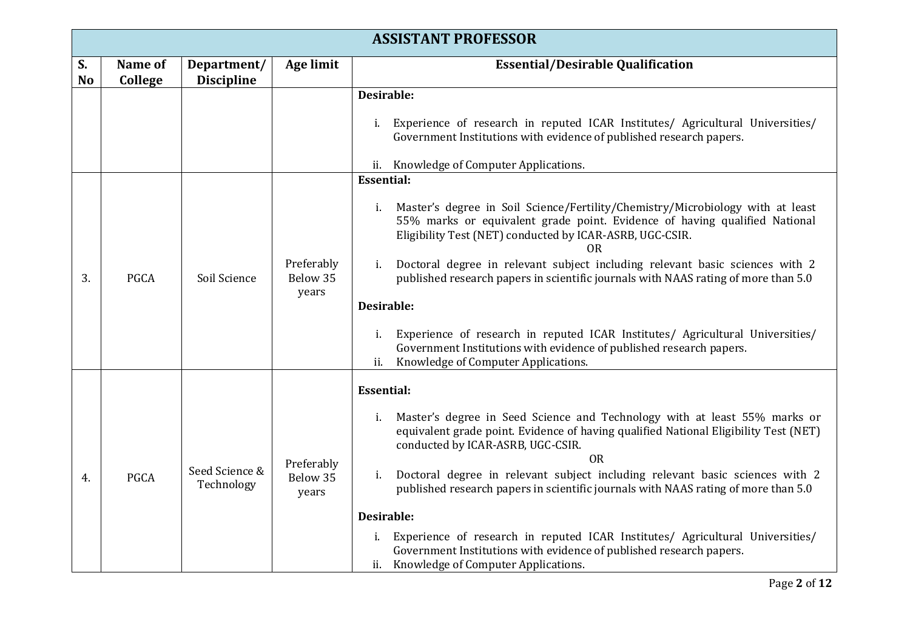|                 | <b>ASSISTANT PROFESSOR</b> |                                  |                                 |                                                                                                                                                                                                                                                                                                                                                                                                                                                                                                                                                                                                                                                                                                                                                                                                                                          |
|-----------------|----------------------------|----------------------------------|---------------------------------|------------------------------------------------------------------------------------------------------------------------------------------------------------------------------------------------------------------------------------------------------------------------------------------------------------------------------------------------------------------------------------------------------------------------------------------------------------------------------------------------------------------------------------------------------------------------------------------------------------------------------------------------------------------------------------------------------------------------------------------------------------------------------------------------------------------------------------------|
| S.<br><b>No</b> | Name of<br>College         | Department/<br><b>Discipline</b> | <b>Age limit</b>                | <b>Essential/Desirable Qualification</b>                                                                                                                                                                                                                                                                                                                                                                                                                                                                                                                                                                                                                                                                                                                                                                                                 |
| 3.              | <b>PGCA</b>                | Soil Science                     | Preferably<br>Below 35<br>years | Desirable:<br>Experience of research in reputed ICAR Institutes/ Agricultural Universities/<br>i.<br>Government Institutions with evidence of published research papers.<br>ii. Knowledge of Computer Applications.<br><b>Essential:</b><br>Master's degree in Soil Science/Fertility/Chemistry/Microbiology with at least<br>i.<br>55% marks or equivalent grade point. Evidence of having qualified National<br>Eligibility Test (NET) conducted by ICAR-ASRB, UGC-CSIR.<br>0R<br>Doctoral degree in relevant subject including relevant basic sciences with 2<br>i.<br>published research papers in scientific journals with NAAS rating of more than 5.0<br>Desirable:<br>Experience of research in reputed ICAR Institutes/ Agricultural Universities/<br>i.<br>Government Institutions with evidence of published research papers. |
|                 |                            |                                  |                                 | Knowledge of Computer Applications.<br>ii.<br><b>Essential:</b><br>Master's degree in Seed Science and Technology with at least 55% marks or<br>i.<br>equivalent grade point. Evidence of having qualified National Eligibility Test (NET)                                                                                                                                                                                                                                                                                                                                                                                                                                                                                                                                                                                               |
| 4.              | PGCA                       | Seed Science &<br>Technology     | Preferably<br>Below 35<br>years | conducted by ICAR-ASRB, UGC-CSIR.<br><b>OR</b><br>Doctoral degree in relevant subject including relevant basic sciences with 2<br>i.<br>published research papers in scientific journals with NAAS rating of more than 5.0<br>Desirable:<br>i. Experience of research in reputed ICAR Institutes/ Agricultural Universities/<br>Government Institutions with evidence of published research papers.<br>ii. Knowledge of Computer Applications.                                                                                                                                                                                                                                                                                                                                                                                           |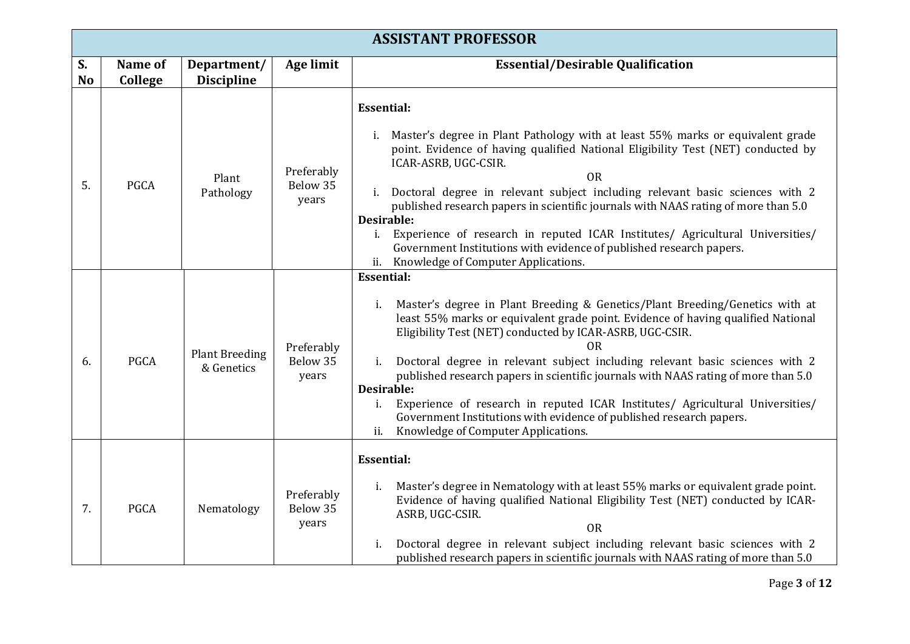|                 | <b>ASSISTANT PROFESSOR</b> |                                     |                                 |                                                                                                                                                                                                                                                                                                                                                                                                                                                                                                                                                                                                                                                                            |  |
|-----------------|----------------------------|-------------------------------------|---------------------------------|----------------------------------------------------------------------------------------------------------------------------------------------------------------------------------------------------------------------------------------------------------------------------------------------------------------------------------------------------------------------------------------------------------------------------------------------------------------------------------------------------------------------------------------------------------------------------------------------------------------------------------------------------------------------------|--|
| S.<br><b>No</b> | Name of<br>College         | Department/<br><b>Discipline</b>    | Age limit                       | <b>Essential/Desirable Qualification</b>                                                                                                                                                                                                                                                                                                                                                                                                                                                                                                                                                                                                                                   |  |
| 5.              | <b>PGCA</b>                | Plant<br>Pathology                  | Preferably<br>Below 35<br>years | <b>Essential:</b><br>i. Master's degree in Plant Pathology with at least 55% marks or equivalent grade<br>point. Evidence of having qualified National Eligibility Test (NET) conducted by<br>ICAR-ASRB, UGC-CSIR.<br><b>OR</b><br>i. Doctoral degree in relevant subject including relevant basic sciences with 2<br>published research papers in scientific journals with NAAS rating of more than 5.0<br><b>Desirable:</b><br>i. Experience of research in reputed ICAR Institutes/ Agricultural Universities/<br>Government Institutions with evidence of published research papers.<br>ii. Knowledge of Computer Applications.                                        |  |
| 6.              | <b>PGCA</b>                | <b>Plant Breeding</b><br>& Genetics | Preferably<br>Below 35<br>years | <b>Essential:</b><br>Master's degree in Plant Breeding & Genetics/Plant Breeding/Genetics with at<br>i.<br>least 55% marks or equivalent grade point. Evidence of having qualified National<br>Eligibility Test (NET) conducted by ICAR-ASRB, UGC-CSIR.<br>0R<br>Doctoral degree in relevant subject including relevant basic sciences with 2<br>i.<br>published research papers in scientific journals with NAAS rating of more than 5.0<br><b>Desirable:</b><br>Experience of research in reputed ICAR Institutes/ Agricultural Universities/<br>i.<br>Government Institutions with evidence of published research papers.<br>Knowledge of Computer Applications.<br>ii. |  |
| 7.              | <b>PGCA</b>                | Nematology                          | Preferably<br>Below 35<br>years | <b>Essential:</b><br>Master's degree in Nematology with at least 55% marks or equivalent grade point.<br>i.<br>Evidence of having qualified National Eligibility Test (NET) conducted by ICAR-<br>ASRB, UGC-CSIR.<br><b>OR</b><br>Doctoral degree in relevant subject including relevant basic sciences with 2<br>i.<br>published research papers in scientific journals with NAAS rating of more than 5.0                                                                                                                                                                                                                                                                 |  |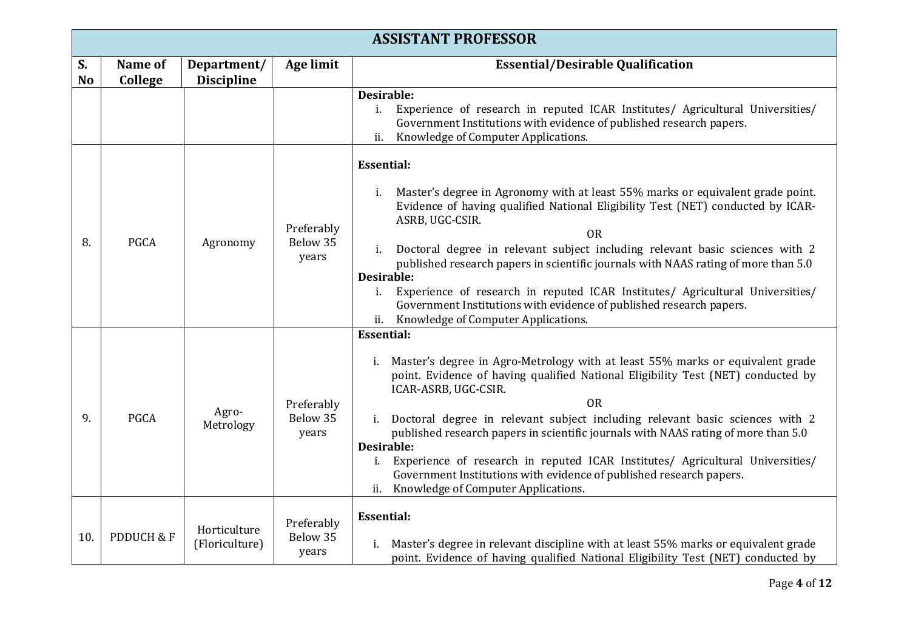|                      | <b>ASSISTANT PROFESSOR</b> |                                  |                                 |                                                                                                                                                                                                                                                                                                                                                                                                                                                                                                                                                                                                                                    |  |
|----------------------|----------------------------|----------------------------------|---------------------------------|------------------------------------------------------------------------------------------------------------------------------------------------------------------------------------------------------------------------------------------------------------------------------------------------------------------------------------------------------------------------------------------------------------------------------------------------------------------------------------------------------------------------------------------------------------------------------------------------------------------------------------|--|
| S.<br>N <sub>o</sub> | Name of<br>College         | Department/<br><b>Discipline</b> | Age limit                       | <b>Essential/Desirable Qualification</b>                                                                                                                                                                                                                                                                                                                                                                                                                                                                                                                                                                                           |  |
|                      |                            |                                  |                                 | Desirable:<br>Experience of research in reputed ICAR Institutes/ Agricultural Universities/<br>i.<br>Government Institutions with evidence of published research papers.<br>Knowledge of Computer Applications.<br>ii.                                                                                                                                                                                                                                                                                                                                                                                                             |  |
|                      |                            |                                  |                                 | <b>Essential:</b><br>Master's degree in Agronomy with at least 55% marks or equivalent grade point.<br>i.                                                                                                                                                                                                                                                                                                                                                                                                                                                                                                                          |  |
| 8.                   | <b>PGCA</b>                | Agronomy                         | Preferably<br>Below 35<br>years | Evidence of having qualified National Eligibility Test (NET) conducted by ICAR-<br>ASRB, UGC-CSIR.<br><b>OR</b><br>Doctoral degree in relevant subject including relevant basic sciences with 2<br>i.<br>published research papers in scientific journals with NAAS rating of more than 5.0<br><b>Desirable:</b><br>Experience of research in reputed ICAR Institutes/ Agricultural Universities/<br>i.<br>Government Institutions with evidence of published research papers.<br>Knowledge of Computer Applications.<br>ii.                                                                                                       |  |
| 9.                   | <b>PGCA</b>                | Agro-<br>Metrology               | Preferably<br>Below 35<br>years | <b>Essential:</b><br>i. Master's degree in Agro-Metrology with at least 55% marks or equivalent grade<br>point. Evidence of having qualified National Eligibility Test (NET) conducted by<br>ICAR-ASRB, UGC-CSIR.<br><b>OR</b><br>i. Doctoral degree in relevant subject including relevant basic sciences with 2<br>published research papers in scientific journals with NAAS rating of more than 5.0<br><b>Desirable:</b><br>Experience of research in reputed ICAR Institutes/ Agricultural Universities/<br>Government Institutions with evidence of published research papers.<br>Knowledge of Computer Applications.<br>ii. |  |
| 10.                  | PDDUCH & F                 | Horticulture<br>(Floriculture)   | Preferably<br>Below 35<br>years | <b>Essential:</b><br>i. Master's degree in relevant discipline with at least 55% marks or equivalent grade<br>point. Evidence of having qualified National Eligibility Test (NET) conducted by                                                                                                                                                                                                                                                                                                                                                                                                                                     |  |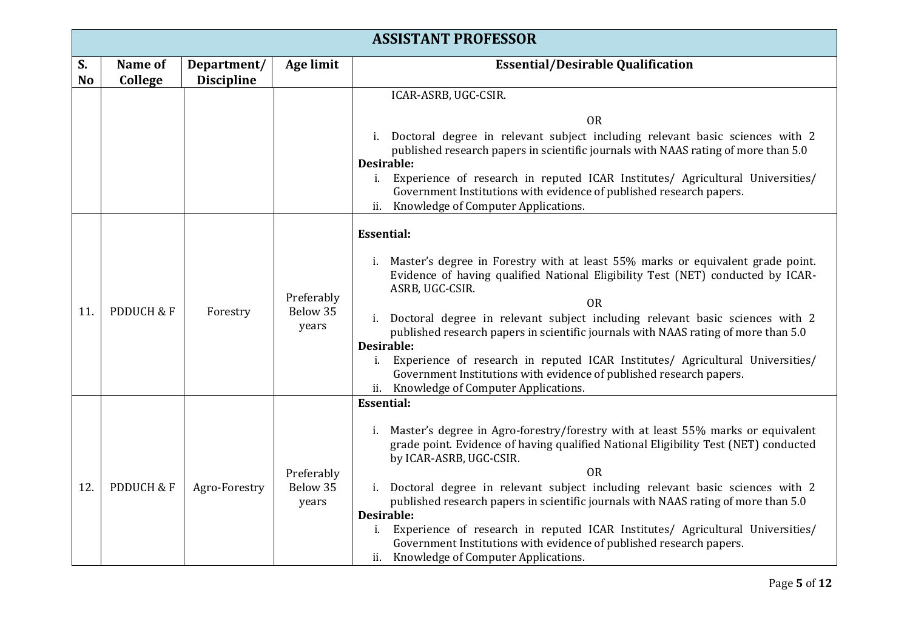|                 | <b>ASSISTANT PROFESSOR</b> |                                  |                                 |                                                                                                                                                                                                                                                                                                                                                                                                                                                                                                                                                                                                                                  |  |
|-----------------|----------------------------|----------------------------------|---------------------------------|----------------------------------------------------------------------------------------------------------------------------------------------------------------------------------------------------------------------------------------------------------------------------------------------------------------------------------------------------------------------------------------------------------------------------------------------------------------------------------------------------------------------------------------------------------------------------------------------------------------------------------|--|
| S.<br><b>No</b> | Name of<br>College         | Department/<br><b>Discipline</b> | <b>Age limit</b>                | <b>Essential/Desirable Qualification</b>                                                                                                                                                                                                                                                                                                                                                                                                                                                                                                                                                                                         |  |
|                 |                            |                                  |                                 | ICAR-ASRB, UGC-CSIR.<br><b>OR</b>                                                                                                                                                                                                                                                                                                                                                                                                                                                                                                                                                                                                |  |
|                 |                            |                                  |                                 | i. Doctoral degree in relevant subject including relevant basic sciences with 2<br>published research papers in scientific journals with NAAS rating of more than 5.0<br>Desirable:                                                                                                                                                                                                                                                                                                                                                                                                                                              |  |
|                 |                            |                                  |                                 | Experience of research in reputed ICAR Institutes/ Agricultural Universities/<br>i.<br>Government Institutions with evidence of published research papers.<br>Knowledge of Computer Applications.<br>ii.                                                                                                                                                                                                                                                                                                                                                                                                                         |  |
| 11.             | PDDUCH & F                 | Forestry                         | Preferably<br>Below 35<br>years | <b>Essential:</b><br>Master's degree in Forestry with at least 55% marks or equivalent grade point.<br>Evidence of having qualified National Eligibility Test (NET) conducted by ICAR-<br>ASRB, UGC-CSIR.<br><b>OR</b><br>i. Doctoral degree in relevant subject including relevant basic sciences with 2<br>published research papers in scientific journals with NAAS rating of more than 5.0<br>Desirable:<br>Experience of research in reputed ICAR Institutes/ Agricultural Universities/<br>i.<br>Government Institutions with evidence of published research papers.<br>ii. Knowledge of Computer Applications.           |  |
| 12.             | <b>PDDUCH &amp; F</b>      | Agro-Forestry                    | Preferably<br>Below 35<br>years | <b>Essential:</b><br>i. Master's degree in Agro-forestry/forestry with at least 55% marks or equivalent<br>grade point. Evidence of having qualified National Eligibility Test (NET) conducted<br>by ICAR-ASRB, UGC-CSIR.<br><b>OR</b><br>i. Doctoral degree in relevant subject including relevant basic sciences with 2<br>published research papers in scientific journals with NAAS rating of more than 5.0<br>Desirable:<br>Experience of research in reputed ICAR Institutes/ Agricultural Universities/<br>Government Institutions with evidence of published research papers.<br>ii. Knowledge of Computer Applications. |  |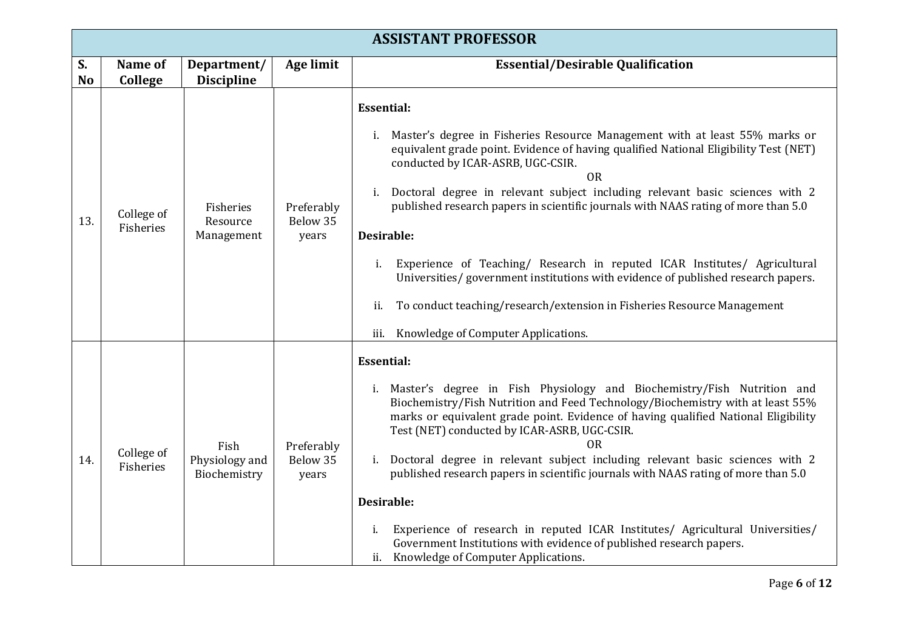|          | <b>ASSISTANT PROFESSOR</b> |                                        |                                 |                                                                                                                                                                                                                                                                                                                                                                                                                                                                                                                                                                                                                                                                                                                                                           |  |
|----------|----------------------------|----------------------------------------|---------------------------------|-----------------------------------------------------------------------------------------------------------------------------------------------------------------------------------------------------------------------------------------------------------------------------------------------------------------------------------------------------------------------------------------------------------------------------------------------------------------------------------------------------------------------------------------------------------------------------------------------------------------------------------------------------------------------------------------------------------------------------------------------------------|--|
| S.<br>No | Name of<br>College         | Department/<br><b>Discipline</b>       | <b>Age limit</b>                | <b>Essential/Desirable Qualification</b>                                                                                                                                                                                                                                                                                                                                                                                                                                                                                                                                                                                                                                                                                                                  |  |
| 13.      | College of<br>Fisheries    | Fisheries<br>Resource<br>Management    | Preferably<br>Below 35<br>years | <b>Essential:</b><br>Master's degree in Fisheries Resource Management with at least 55% marks or<br>i.<br>equivalent grade point. Evidence of having qualified National Eligibility Test (NET)<br>conducted by ICAR-ASRB, UGC-CSIR.<br><b>OR</b><br>Doctoral degree in relevant subject including relevant basic sciences with 2<br>i.<br>published research papers in scientific journals with NAAS rating of more than 5.0<br><b>Desirable:</b><br>Experience of Teaching/ Research in reputed ICAR Institutes/ Agricultural<br>i.<br>Universities/government institutions with evidence of published research papers.<br>To conduct teaching/research/extension in Fisheries Resource Management<br>ii.<br>Knowledge of Computer Applications.<br>iii. |  |
| 14.      | College of<br>Fisheries    | Fish<br>Physiology and<br>Biochemistry | Preferably<br>Below 35<br>years | <b>Essential:</b><br>i. Master's degree in Fish Physiology and Biochemistry/Fish Nutrition and<br>Biochemistry/Fish Nutrition and Feed Technology/Biochemistry with at least 55%<br>marks or equivalent grade point. Evidence of having qualified National Eligibility<br>Test (NET) conducted by ICAR-ASRB, UGC-CSIR.<br><b>OR</b><br>i. Doctoral degree in relevant subject including relevant basic sciences with 2<br>published research papers in scientific journals with NAAS rating of more than 5.0<br>Desirable:<br>Experience of research in reputed ICAR Institutes/ Agricultural Universities/<br>i.<br>Government Institutions with evidence of published research papers.<br>ii. Knowledge of Computer Applications.                       |  |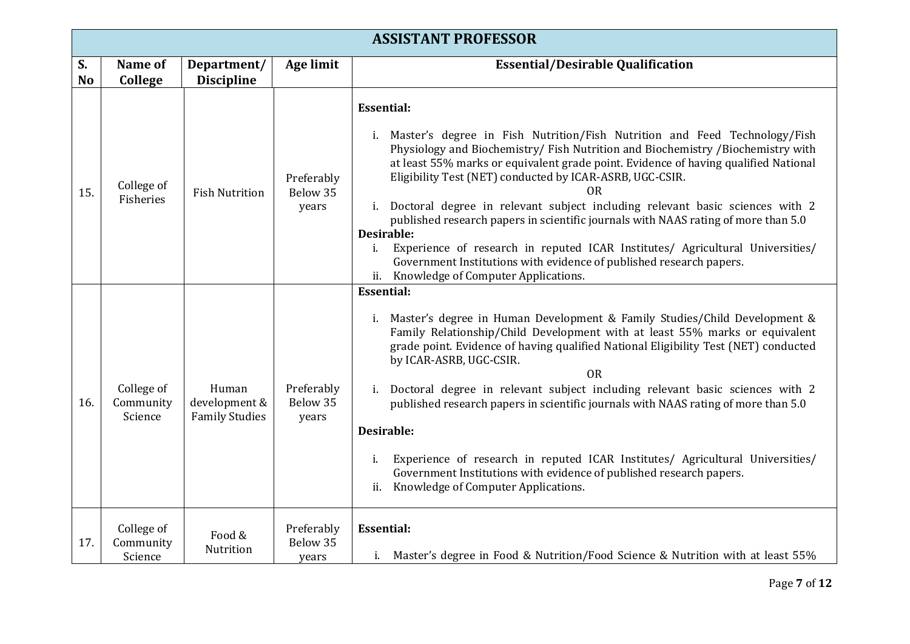|                 | <b>ASSISTANT PROFESSOR</b>         |                                                 |                                 |                                                                                                                                                                                                                                                                                                                                                                                                                                                                                                                                                                                                                                                                                                                                               |  |
|-----------------|------------------------------------|-------------------------------------------------|---------------------------------|-----------------------------------------------------------------------------------------------------------------------------------------------------------------------------------------------------------------------------------------------------------------------------------------------------------------------------------------------------------------------------------------------------------------------------------------------------------------------------------------------------------------------------------------------------------------------------------------------------------------------------------------------------------------------------------------------------------------------------------------------|--|
| S.<br><b>No</b> | Name of<br>College                 | Department/<br><b>Discipline</b>                | <b>Age limit</b>                | <b>Essential/Desirable Qualification</b>                                                                                                                                                                                                                                                                                                                                                                                                                                                                                                                                                                                                                                                                                                      |  |
| 15.             | College of<br>Fisheries            | <b>Fish Nutrition</b>                           | Preferably<br>Below 35<br>years | <b>Essential:</b><br>Master's degree in Fish Nutrition/Fish Nutrition and Feed Technology/Fish<br>Physiology and Biochemistry/Fish Nutrition and Biochemistry /Biochemistry with<br>at least 55% marks or equivalent grade point. Evidence of having qualified National<br>Eligibility Test (NET) conducted by ICAR-ASRB, UGC-CSIR.<br>OR.<br>i. Doctoral degree in relevant subject including relevant basic sciences with 2<br>published research papers in scientific journals with NAAS rating of more than 5.0<br>Desirable:<br>Experience of research in reputed ICAR Institutes/ Agricultural Universities/<br>$i$ .<br>Government Institutions with evidence of published research papers.<br>ii. Knowledge of Computer Applications. |  |
| 16.             | College of<br>Community<br>Science | Human<br>development &<br><b>Family Studies</b> | Preferably<br>Below 35<br>years | <b>Essential:</b><br>i. Master's degree in Human Development & Family Studies/Child Development &<br>Family Relationship/Child Development with at least 55% marks or equivalent<br>grade point. Evidence of having qualified National Eligibility Test (NET) conducted<br>by ICAR-ASRB, UGC-CSIR.<br><b>OR</b><br>i. Doctoral degree in relevant subject including relevant basic sciences with 2<br>published research papers in scientific journals with NAAS rating of more than 5.0<br>Desirable:<br>Experience of research in reputed ICAR Institutes/ Agricultural Universities/<br>i.<br>Government Institutions with evidence of published research papers.<br>Knowledge of Computer Applications.<br>ii.                            |  |
| 17.             | College of<br>Community<br>Science | Food &<br>Nutrition                             | Preferably<br>Below 35<br>years | <b>Essential:</b><br>i. Master's degree in Food & Nutrition/Food Science & Nutrition with at least 55%                                                                                                                                                                                                                                                                                                                                                                                                                                                                                                                                                                                                                                        |  |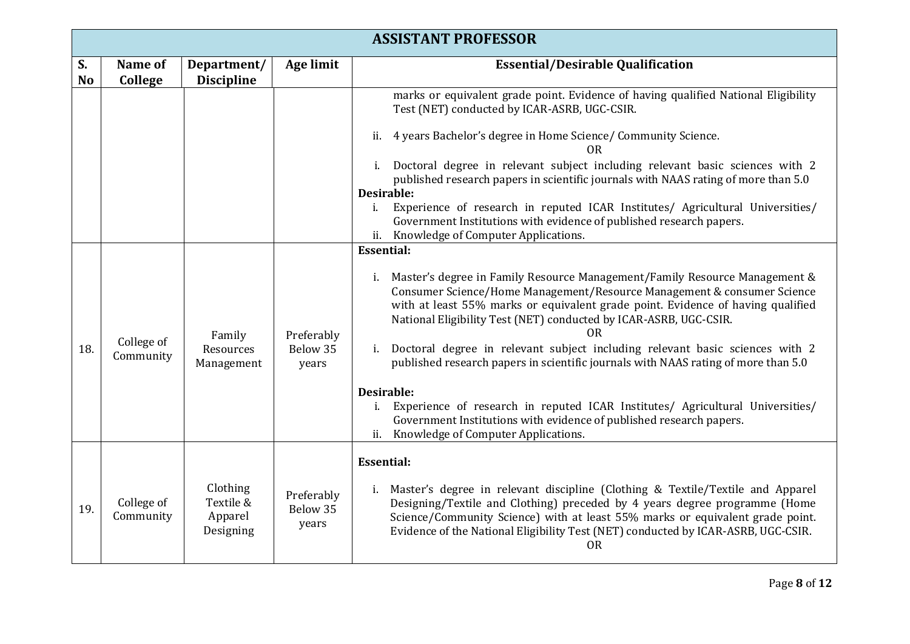|                 | <b>ASSISTANT PROFESSOR</b> |                                               |                                 |                                                                                                                                                                                                                                                                                                                                                    |  |
|-----------------|----------------------------|-----------------------------------------------|---------------------------------|----------------------------------------------------------------------------------------------------------------------------------------------------------------------------------------------------------------------------------------------------------------------------------------------------------------------------------------------------|--|
| S.<br><b>No</b> | Name of<br>College         | Department/<br><b>Discipline</b>              | <b>Age limit</b>                | <b>Essential/Desirable Qualification</b>                                                                                                                                                                                                                                                                                                           |  |
|                 |                            |                                               |                                 | marks or equivalent grade point. Evidence of having qualified National Eligibility<br>Test (NET) conducted by ICAR-ASRB, UGC-CSIR.                                                                                                                                                                                                                 |  |
|                 |                            |                                               |                                 | 4 years Bachelor's degree in Home Science/ Community Science.<br>ii.<br>0R                                                                                                                                                                                                                                                                         |  |
|                 |                            |                                               |                                 | i. Doctoral degree in relevant subject including relevant basic sciences with 2<br>published research papers in scientific journals with NAAS rating of more than 5.0<br>Desirable:                                                                                                                                                                |  |
|                 |                            |                                               |                                 | Experience of research in reputed ICAR Institutes/ Agricultural Universities/<br>i.<br>Government Institutions with evidence of published research papers.<br>ii. Knowledge of Computer Applications.                                                                                                                                              |  |
|                 |                            |                                               |                                 | <b>Essential:</b>                                                                                                                                                                                                                                                                                                                                  |  |
|                 | College of<br>Community    | Family<br>Resources<br>Management             | Preferably<br>Below 35<br>years | i. Master's degree in Family Resource Management/Family Resource Management &<br>Consumer Science/Home Management/Resource Management & consumer Science<br>with at least 55% marks or equivalent grade point. Evidence of having qualified<br>National Eligibility Test (NET) conducted by ICAR-ASRB, UGC-CSIR.<br>ΟR                             |  |
| 18.             |                            |                                               |                                 | i. Doctoral degree in relevant subject including relevant basic sciences with 2<br>published research papers in scientific journals with NAAS rating of more than 5.0                                                                                                                                                                              |  |
|                 |                            |                                               |                                 | Desirable:<br>i. Experience of research in reputed ICAR Institutes/ Agricultural Universities/<br>Government Institutions with evidence of published research papers.<br>ii. Knowledge of Computer Applications.                                                                                                                                   |  |
|                 |                            |                                               |                                 | <b>Essential:</b>                                                                                                                                                                                                                                                                                                                                  |  |
| 19.             | College of<br>Community    | Clothing<br>Textile &<br>Apparel<br>Designing | Preferably<br>Below 35<br>years | i. Master's degree in relevant discipline (Clothing & Textile/Textile and Apparel<br>Designing/Textile and Clothing) preceded by 4 years degree programme (Home<br>Science/Community Science) with at least 55% marks or equivalent grade point.<br>Evidence of the National Eligibility Test (NET) conducted by ICAR-ASRB, UGC-CSIR.<br><b>OR</b> |  |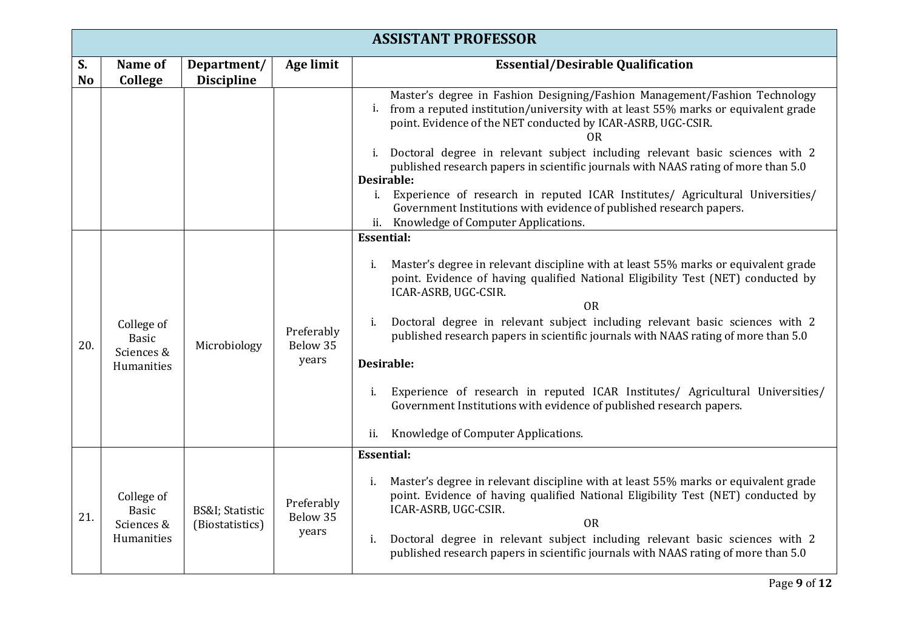|                      | <b>ASSISTANT PROFESSOR</b>               |                                                |                                 |                                                                                                                                                                                                                                                                                                                                                      |  |
|----------------------|------------------------------------------|------------------------------------------------|---------------------------------|------------------------------------------------------------------------------------------------------------------------------------------------------------------------------------------------------------------------------------------------------------------------------------------------------------------------------------------------------|--|
| S.<br>N <sub>o</sub> | Name of<br>College                       | Department/<br><b>Discipline</b>               | Age limit                       | <b>Essential/Desirable Qualification</b>                                                                                                                                                                                                                                                                                                             |  |
|                      |                                          |                                                |                                 | Master's degree in Fashion Designing/Fashion Management/Fashion Technology<br>from a reputed institution/university with at least 55% marks or equivalent grade<br>i.<br>point. Evidence of the NET conducted by ICAR-ASRB, UGC-CSIR.<br>0R                                                                                                          |  |
|                      |                                          |                                                |                                 | i. Doctoral degree in relevant subject including relevant basic sciences with 2<br>published research papers in scientific journals with NAAS rating of more than 5.0<br>Desirable:<br>Experience of research in reputed ICAR Institutes/ Agricultural Universities/<br>$i$ .<br>Government Institutions with evidence of published research papers. |  |
|                      |                                          |                                                |                                 | ii. Knowledge of Computer Applications.                                                                                                                                                                                                                                                                                                              |  |
|                      |                                          |                                                |                                 | <b>Essential:</b>                                                                                                                                                                                                                                                                                                                                    |  |
|                      |                                          | Microbiology                                   | Preferably<br>Below 35<br>years | Master's degree in relevant discipline with at least 55% marks or equivalent grade<br>i.<br>point. Evidence of having qualified National Eligibility Test (NET) conducted by<br>ICAR-ASRB, UGC-CSIR.<br><b>OR</b>                                                                                                                                    |  |
| 20.                  | College of<br><b>Basic</b><br>Sciences & |                                                |                                 | Doctoral degree in relevant subject including relevant basic sciences with 2<br>i.<br>published research papers in scientific journals with NAAS rating of more than 5.0                                                                                                                                                                             |  |
|                      | Humanities                               |                                                |                                 | Desirable:                                                                                                                                                                                                                                                                                                                                           |  |
|                      |                                          |                                                |                                 | Experience of research in reputed ICAR Institutes/ Agricultural Universities/<br>i.<br>Government Institutions with evidence of published research papers.                                                                                                                                                                                           |  |
|                      |                                          |                                                |                                 | Knowledge of Computer Applications.<br>ii.                                                                                                                                                                                                                                                                                                           |  |
|                      |                                          |                                                |                                 | <b>Essential:</b>                                                                                                                                                                                                                                                                                                                                    |  |
| 21.                  | College of<br>Basic<br>Sciences &        | <b>BS&amp;I</b> ; Statistic<br>(Biostatistics) | Preferably<br>Below 35<br>years | Master's degree in relevant discipline with at least 55% marks or equivalent grade<br>i.<br>point. Evidence of having qualified National Eligibility Test (NET) conducted by<br>ICAR-ASRB, UGC-CSIR.<br><b>OR</b>                                                                                                                                    |  |
|                      | Humanities                               |                                                |                                 | Doctoral degree in relevant subject including relevant basic sciences with 2<br>i.<br>published research papers in scientific journals with NAAS rating of more than 5.0                                                                                                                                                                             |  |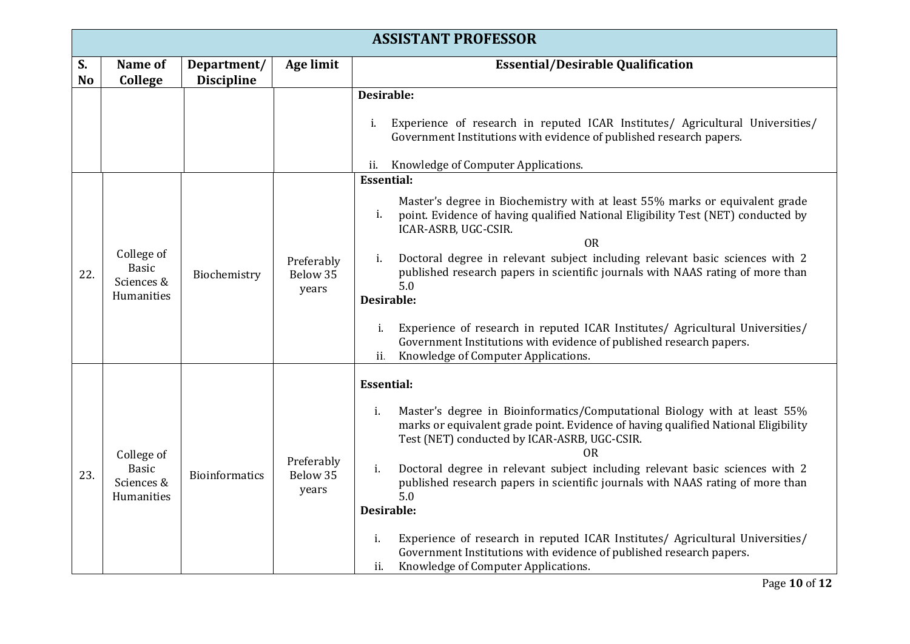|                 | <b>ASSISTANT PROFESSOR</b>                             |                                  |                                 |                                                                                                                                                                                                                                                                                                                                                                                                                                                                                                                                                                                                                                                                  |  |
|-----------------|--------------------------------------------------------|----------------------------------|---------------------------------|------------------------------------------------------------------------------------------------------------------------------------------------------------------------------------------------------------------------------------------------------------------------------------------------------------------------------------------------------------------------------------------------------------------------------------------------------------------------------------------------------------------------------------------------------------------------------------------------------------------------------------------------------------------|--|
| S.<br><b>No</b> | Name of<br>College                                     | Department/<br><b>Discipline</b> | <b>Age limit</b>                | <b>Essential/Desirable Qualification</b>                                                                                                                                                                                                                                                                                                                                                                                                                                                                                                                                                                                                                         |  |
|                 |                                                        |                                  |                                 | Desirable:<br>Experience of research in reputed ICAR Institutes/ Agricultural Universities/<br>i.<br>Government Institutions with evidence of published research papers.<br>Knowledge of Computer Applications.<br>ii.                                                                                                                                                                                                                                                                                                                                                                                                                                           |  |
| 22.             | College of<br><b>Basic</b><br>Sciences &<br>Humanities | Biochemistry                     | Preferably<br>Below 35<br>years | <b>Essential:</b><br>Master's degree in Biochemistry with at least 55% marks or equivalent grade<br>point. Evidence of having qualified National Eligibility Test (NET) conducted by<br>i.<br>ICAR-ASRB, UGC-CSIR.<br>0 <sub>R</sub><br>Doctoral degree in relevant subject including relevant basic sciences with 2<br>i.<br>published research papers in scientific journals with NAAS rating of more than<br>5.0<br>Desirable:<br>Experience of research in reputed ICAR Institutes/ Agricultural Universities/<br>i.<br>Government Institutions with evidence of published research papers.<br>Knowledge of Computer Applications.<br>ii.                    |  |
| 23.             | College of<br>Basic<br>Sciences &<br>Humanities        | <b>Bioinformatics</b>            | Preferably<br>Below 35<br>years | <b>Essential:</b><br>Master's degree in Bioinformatics/Computational Biology with at least 55%<br>i.<br>marks or equivalent grade point. Evidence of having qualified National Eligibility<br>Test (NET) conducted by ICAR-ASRB, UGC-CSIR.<br><b>OR</b><br>i.<br>Doctoral degree in relevant subject including relevant basic sciences with 2<br>published research papers in scientific journals with NAAS rating of more than<br>5.0<br>Desirable:<br>Experience of research in reputed ICAR Institutes/ Agricultural Universities/<br>i.<br>Government Institutions with evidence of published research papers.<br>Knowledge of Computer Applications.<br>ii. |  |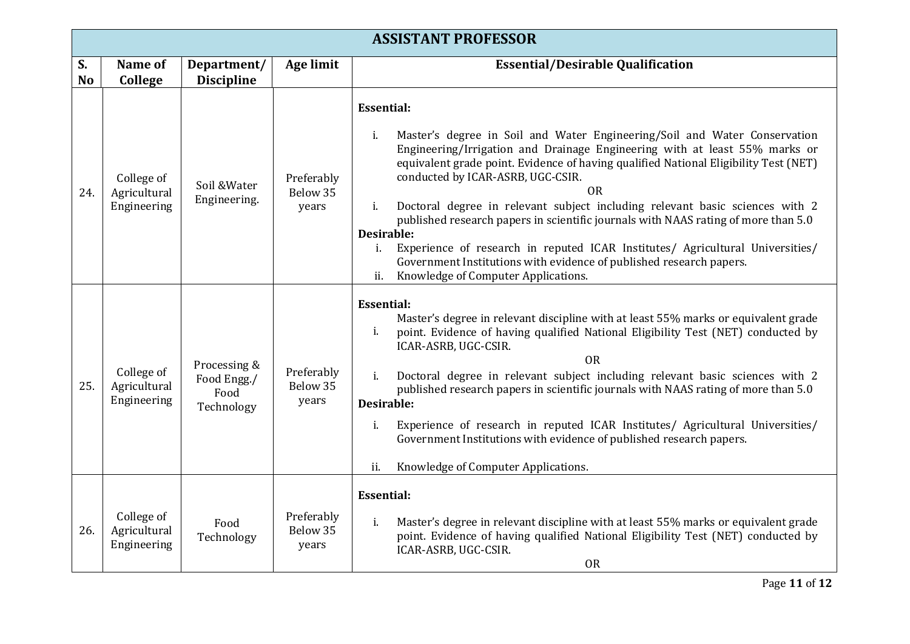|                      | <b>ASSISTANT PROFESSOR</b>                |                                                   |                                 |                                                                                                                                                                                                                                                                                                                                                                                                                                                                                                                                                                                                                                                                                                                                    |  |
|----------------------|-------------------------------------------|---------------------------------------------------|---------------------------------|------------------------------------------------------------------------------------------------------------------------------------------------------------------------------------------------------------------------------------------------------------------------------------------------------------------------------------------------------------------------------------------------------------------------------------------------------------------------------------------------------------------------------------------------------------------------------------------------------------------------------------------------------------------------------------------------------------------------------------|--|
| S.<br>N <sub>o</sub> | Name of<br>College                        | Department/<br><b>Discipline</b>                  | <b>Age limit</b>                | <b>Essential/Desirable Qualification</b>                                                                                                                                                                                                                                                                                                                                                                                                                                                                                                                                                                                                                                                                                           |  |
| 24.                  | College of<br>Agricultural<br>Engineering | Soil & Water<br>Engineering.                      | Preferably<br>Below 35<br>years | <b>Essential:</b><br>Master's degree in Soil and Water Engineering/Soil and Water Conservation<br>i.<br>Engineering/Irrigation and Drainage Engineering with at least 55% marks or<br>equivalent grade point. Evidence of having qualified National Eligibility Test (NET)<br>conducted by ICAR-ASRB, UGC-CSIR.<br><b>OR</b><br>Doctoral degree in relevant subject including relevant basic sciences with 2<br>i.<br>published research papers in scientific journals with NAAS rating of more than 5.0<br>Desirable:<br>Experience of research in reputed ICAR Institutes/ Agricultural Universities/<br>i.<br>Government Institutions with evidence of published research papers.<br>Knowledge of Computer Applications.<br>ii. |  |
| 25.                  | College of<br>Agricultural<br>Engineering | Processing &<br>Food Engg./<br>Food<br>Technology | Preferably<br>Below 35<br>years | <b>Essential:</b><br>Master's degree in relevant discipline with at least 55% marks or equivalent grade<br>point. Evidence of having qualified National Eligibility Test (NET) conducted by<br>i.<br>ICAR-ASRB, UGC-CSIR.<br><b>OR</b><br>Doctoral degree in relevant subject including relevant basic sciences with 2<br>$i$ .<br>published research papers in scientific journals with NAAS rating of more than 5.0<br>Desirable:<br>Experience of research in reputed ICAR Institutes/ Agricultural Universities/<br>i.<br>Government Institutions with evidence of published research papers.<br>Knowledge of Computer Applications.<br>ii.                                                                                    |  |
| 26.                  | College of<br>Agricultural<br>Engineering | Food<br>Technology                                | Preferably<br>Below 35<br>years | <b>Essential:</b><br>Master's degree in relevant discipline with at least 55% marks or equivalent grade<br>i.<br>point. Evidence of having qualified National Eligibility Test (NET) conducted by<br>ICAR-ASRB, UGC-CSIR.<br><b>OR</b>                                                                                                                                                                                                                                                                                                                                                                                                                                                                                             |  |